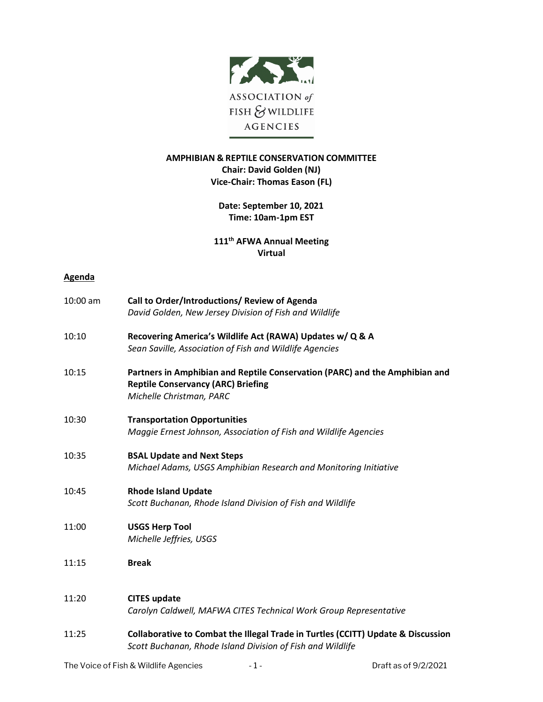

## **AMPHIBIAN & REPTILE CONSERVATION COMMITTEE Chair: David Golden (NJ) Vice-Chair: Thomas Eason (FL)**

## **Date: September 10, 2021 Time: 10am-1pm EST**

**111th AFWA Annual Meeting Virtual**

## **Agenda**

| 10:00 am | Call to Order/Introductions/ Review of Agenda<br>David Golden, New Jersey Division of Fish and Wildlife                                                                                                                                                                                                                                                                                                                                              |
|----------|------------------------------------------------------------------------------------------------------------------------------------------------------------------------------------------------------------------------------------------------------------------------------------------------------------------------------------------------------------------------------------------------------------------------------------------------------|
| 10:10    | Recovering America's Wildlife Act (RAWA) Updates w/ Q & A<br>Sean Saville, Association of Fish and Wildlife Agencies                                                                                                                                                                                                                                                                                                                                 |
| 10:15    | Partners in Amphibian and Reptile Conservation (PARC) and the Amphibian and<br><b>Reptile Conservancy (ARC) Briefing</b><br>Michelle Christman, PARC                                                                                                                                                                                                                                                                                                 |
| 10:30    | <b>Transportation Opportunities</b><br>Maggie Ernest Johnson, Association of Fish and Wildlife Agencies                                                                                                                                                                                                                                                                                                                                              |
| 10:35    | <b>BSAL Update and Next Steps</b><br>Michael Adams, USGS Amphibian Research and Monitoring Initiative                                                                                                                                                                                                                                                                                                                                                |
| 10:45    | <b>Rhode Island Update</b><br>Scott Buchanan, Rhode Island Division of Fish and Wildlife                                                                                                                                                                                                                                                                                                                                                             |
| 11:00    | <b>USGS Herp Tool</b><br>Michelle Jeffries, USGS                                                                                                                                                                                                                                                                                                                                                                                                     |
| 11:15    | <b>Break</b>                                                                                                                                                                                                                                                                                                                                                                                                                                         |
| 11:20    | <b>CITES update</b><br>Carolyn Caldwell, MAFWA CITES Technical Work Group Representative                                                                                                                                                                                                                                                                                                                                                             |
| 11:25    | Collaborative to Combat the Illegal Trade in Turtles (CCITT) Update & Discussion<br>Scott Buchanan, Rhode Island Division of Fish and Wildlife                                                                                                                                                                                                                                                                                                       |
|          | $T_{12}$ $\rightarrow$ $\overline{1}$ $\overline{1}$ $\rightarrow$ $\overline{1}$ $\overline{1}$ $\overline{1}$ $\overline{1}$ $\overline{1}$ $\overline{1}$ $\overline{1}$ $\overline{1}$ $\overline{1}$ $\overline{1}$ $\overline{1}$ $\overline{1}$ $\overline{1}$ $\overline{1}$ $\overline{1}$ $\overline{1}$ $\overline{1}$ $\overline{1}$ $\overline{1}$ $\overline{1}$ $\overline{$<br>$D_{11} + L_{22} + L_{11} + L_{12} + L_{13} + L_{14}$ |